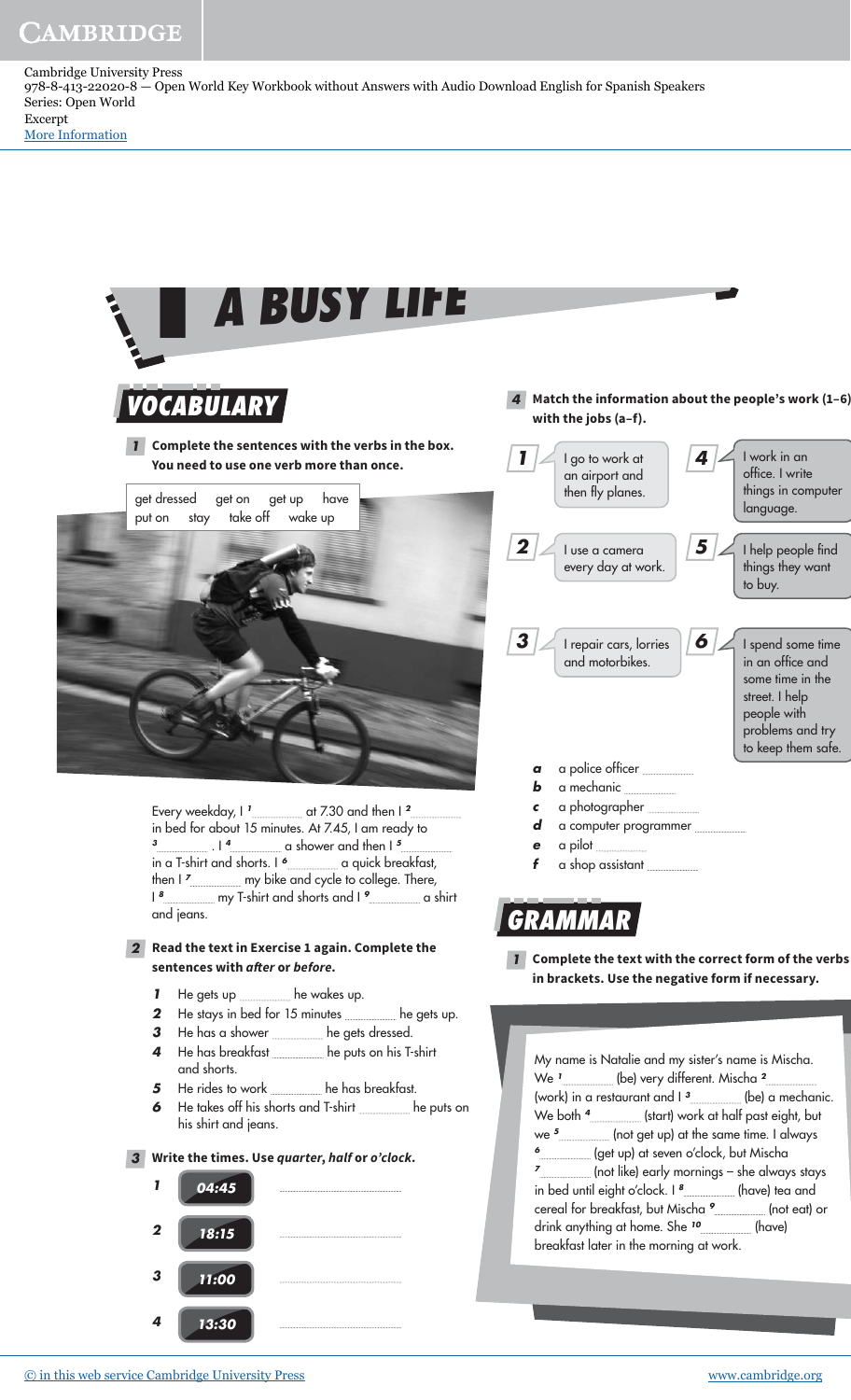Cambridge University Press 978-8-413-22020-8 — Open World Key Workbook without Answers with Audio Download English for Spanish Speakers Series: Open World Excerpt

[More Information](www.cambridge.org/9788413220208)

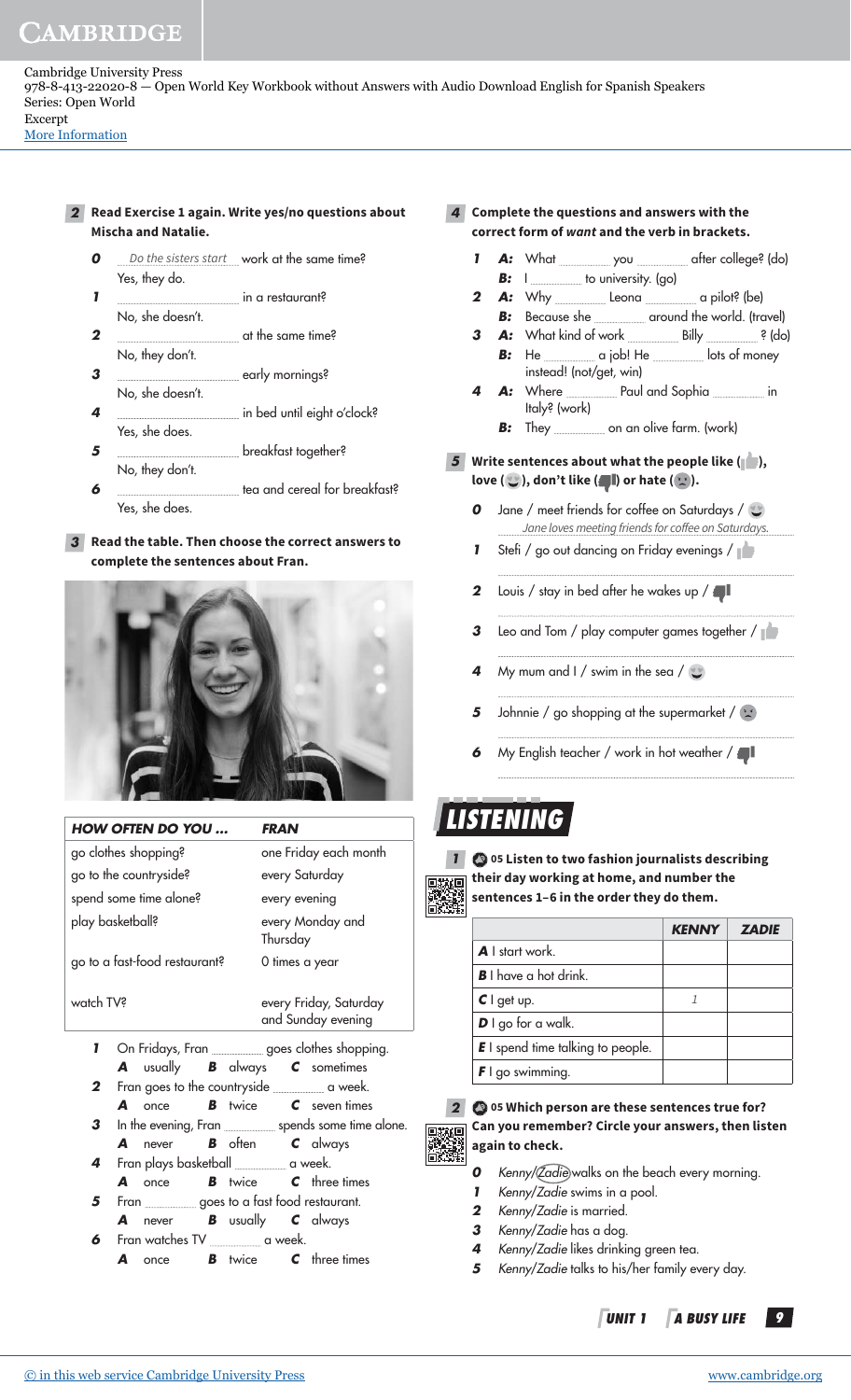[More Information](www.cambridge.org/9788413220208)

- **2 Read Exercise 1 again. Write yes/no questions about Mischa and Natalie.**
	- **0** *Do the sisters start* work at the same time? Yes, they do.
	- **1** in a restaurant? No, she doesn't.
	- **2** at the same time? No, they don't.
	- **3** early mornings? No, she doesn't.
	- **4 in bed until eight o'clock?** Yes, she does.
	- **5** breakfast together? No, they don't.
	- **6 the a**tea and cereal for breakfast? Yes, she does.

#### **3 Read the table. Then choose the correct answers to complete the sentences about Fran.**



| <b>HOW OFTEN DO YOU</b>       | <i><b>FRAN</b></i>                           |
|-------------------------------|----------------------------------------------|
| go clothes shopping?          | one Friday each month                        |
| go to the countryside?        | every Saturday                               |
| spend some time alone?        | every evening                                |
| play basketball?              | every Monday and<br>Thursday                 |
| go to a fast-food restaurant? | 0 times a year                               |
| watch TV?                     | every Friday, Saturday<br>and Sunday evening |
|                               |                                              |

- **1** On Fridays, Fran goes clothes shopping. **A** usually **B** always **C** sometimes
- **2** Fran goes to the countryside **countryside** a week. **A** once **B** twice **C** seven times
- **3** In the evening, Fran spends some time alone. **A** never **B** often **C** always
- **4** Fran plays basketball **Frank Strutter** a week.
- **A** once **B** twice **C** three times **5** Fran successive state of fast food restaurant. **A** never **B** usually **C** always
- **6** Fran watches TV <u>successes</u> a week. **A** once **B** twice **C** three times
- **4 Complete the questions and answers with the correct form of want and the verb in brackets.**
	- 1 **A:** What you **after college?** (do) **B: I** <u>**I**</u> to university. (go)
	- **2 A:** Why Leona a pilot? (be) **B:** Because she <u>and the world</u>. (travel)
	- **3 A:** What kind of work Billy **A:** (do)
		- **B:** He \_\_\_\_\_\_\_\_\_\_\_\_\_\_\_\_\_\_\_\_\_\_ a job! He \_\_\_\_\_\_\_\_\_\_\_\_\_\_\_\_ lots of money instead! (not/get, win)
	- 4 A: Where Paul and Sophia in Italy? (work)
		- **B:** They <u>change on an olive farm.</u> (work)

#### **5 Write sentences about what the people like ( ),**  love  $(\cup)$ , don't like  $(\blacksquare)$  or hate  $(\cup)$ .

- **0** Jane / meet friends for coffee on Saturdays / Jane loves meeting friends for coffee on Saturdays.
- **1** Stefi / go out dancing on Friday evenings /
- **2** Louis / stay in bed after he wakes up /
- **3** Leo and Tom / play computer games together /
- **4 My mum and I** / swim in the sea /
- **5** Johnnie / go shopping at the supermarket /  $\heartsuit$
- **6** My English teacher / work in hot weather /

# **LISTENING**



**1 05 Listen to two fashion journalists describing their day working at home, and number the sentences 1–6 in the order they do them.** 

|                                          | <b>7ADIE</b> |
|------------------------------------------|--------------|
| <b>A</b> I start work                    |              |
| <b>B</b> I have a hot drink.             |              |
| $C \mid$ get up.                         |              |
| $D \mid$ go for a walk.                  |              |
| <b>E</b> I spend time talking to people. |              |
| $\mathbf{F}$ I go swimming.              |              |



#### **2 05 Which person are these sentences true for? Can you remember? Circle your answers, then listen again to check.**

- **0** Kenny/*Zadie*) walks on the beach every morning.
- **1** Kenny/Zadie swims in a pool.
- **2** Kenny/Zadie is married.
- **3** Kenny/Zadie has a dog.
- **4** Kenny/Zadie likes drinking green tea.
- **5** Kenny/Zadie talks to his/her family every day.
	- **UNIT 1 A BUSY LIFE 9**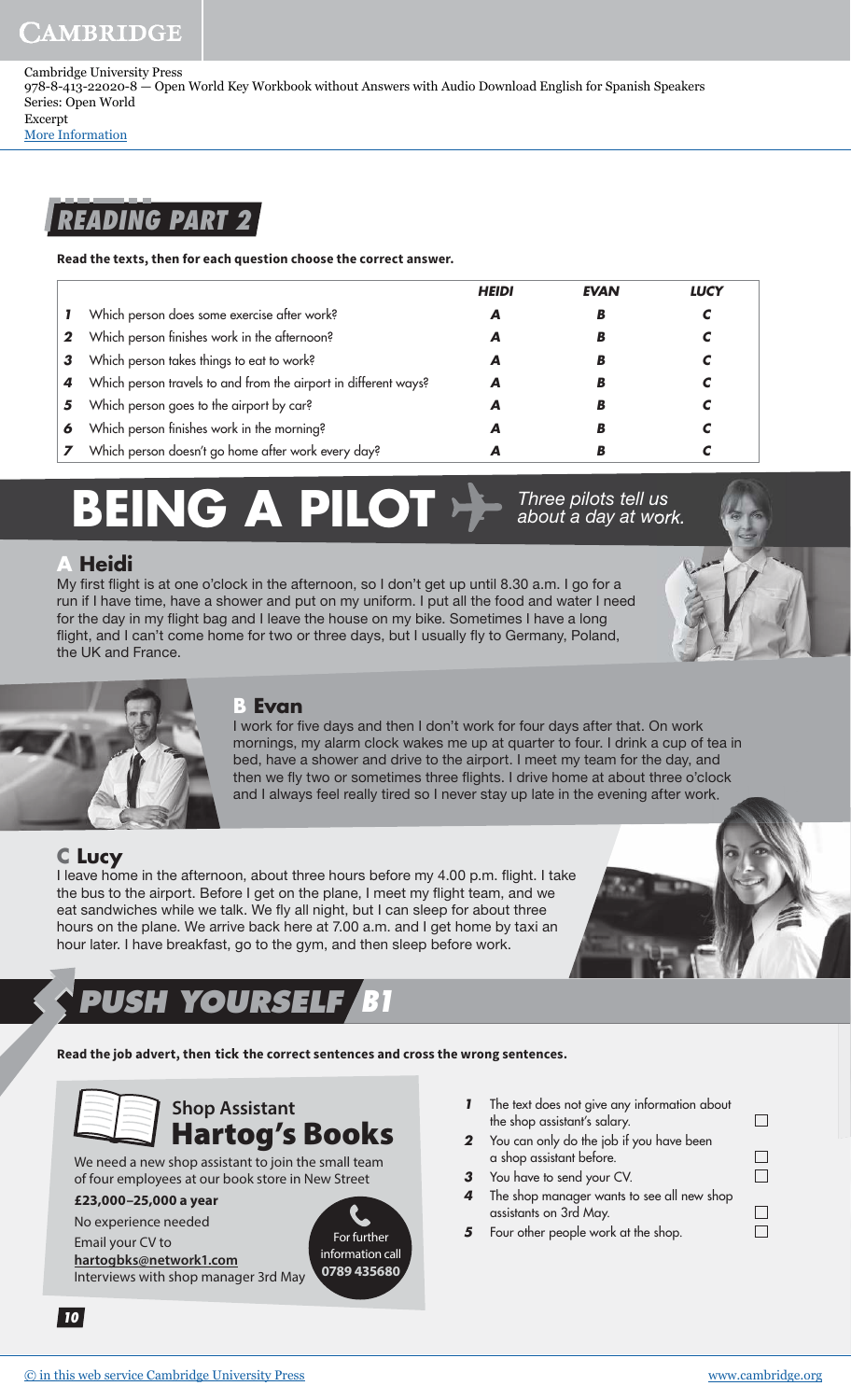Cambridge University Press 978-8-413-22020-8 — Open World Key Workbook without Answers with Audio Download English for Spanish Speakers Series: Open World Excerpt

[More Information](www.cambridge.org/9788413220208)

### **READING PART 2**

**Read the texts, then for each question choose the correct answer.** 

|   |                                                                 | <b>HEIDI</b> | <b>EVAN</b> | LUCY |
|---|-----------------------------------------------------------------|--------------|-------------|------|
|   | Which person does some exercise after work?                     | A            | B           |      |
| 2 | Which person finishes work in the afternoon?                    |              | B           |      |
| 3 | Which person takes things to eat to work?                       |              | B           |      |
|   | Which person travels to and from the airport in different ways? |              | D           |      |
| 5 | Which person goes to the airport by car?                        |              | B           |      |
| 6 | Which person finishes work in the morning?                      | А            | B           |      |
|   | Which person doesn't go home after work every day?              |              | B           |      |

# **BEING A PILOT Proper pilots tell us**

#### **A Heidi**

My first flight is at one o'clock in the afternoon, so I don't get up until 8.30 a.m. I go for a run if I have time, have a shower and put on my uniform. I put all the food and water I need for the day in my flight bag and I leave the house on my bike. Sometimes I have a long flight, and I can't come home for two or three days, but I usually fly to Germany, Poland, the UK and France.



#### **B Evan**

I work for five days and then I don't work for four days after that. On work mornings, my alarm clock wakes me up at quarter to four. I drink a cup of tea in bed, have a shower and drive to the airport. I meet my team for the day, and then we fly two or sometimes three flights. I drive home at about three o'clock and I always feel really tired so I never stay up late in the evening after work.

#### **C Lucy**

I leave home in the afternoon, about three hours before my 4.00 p.m. flight. I take the bus to the airport. Before I get on the plane, I meet my flight team, and we eat sandwiches while we talk. We fly all night, but I can sleep for about three hours on the plane. We arrive back here at 7.00 a.m. and I get home by taxi an hour later. I have breakfast, go to the gym, and then sleep before work.

# **PUSH YOURSELF B1**

**Read the job advert, then** tick t**he correct sentences and cross the wrong sentences.**

### **Shop Assistant** Hartog's Books

We need a new shop assistant to join the small team of four employees at our book store in New Street

#### **£23,000–25,000 a year**

No experience needed

Email your CV to **hartogbks@network1.com** Interviews with shop manager 3rd May



**1** The text does not give any information about the shop assistant's salary.

about a day at work.

- **2** You can only do the job if you have been a shop assistant before.
- **3** You have to send your CV.
- **4** The shop manager wants to see all new shop assistants on 3rd May.
- **5** Four other people work at the shop.

| n.            |  |
|---------------|--|
| $\Box$<br>e e |  |
|               |  |

 $\Box$ 

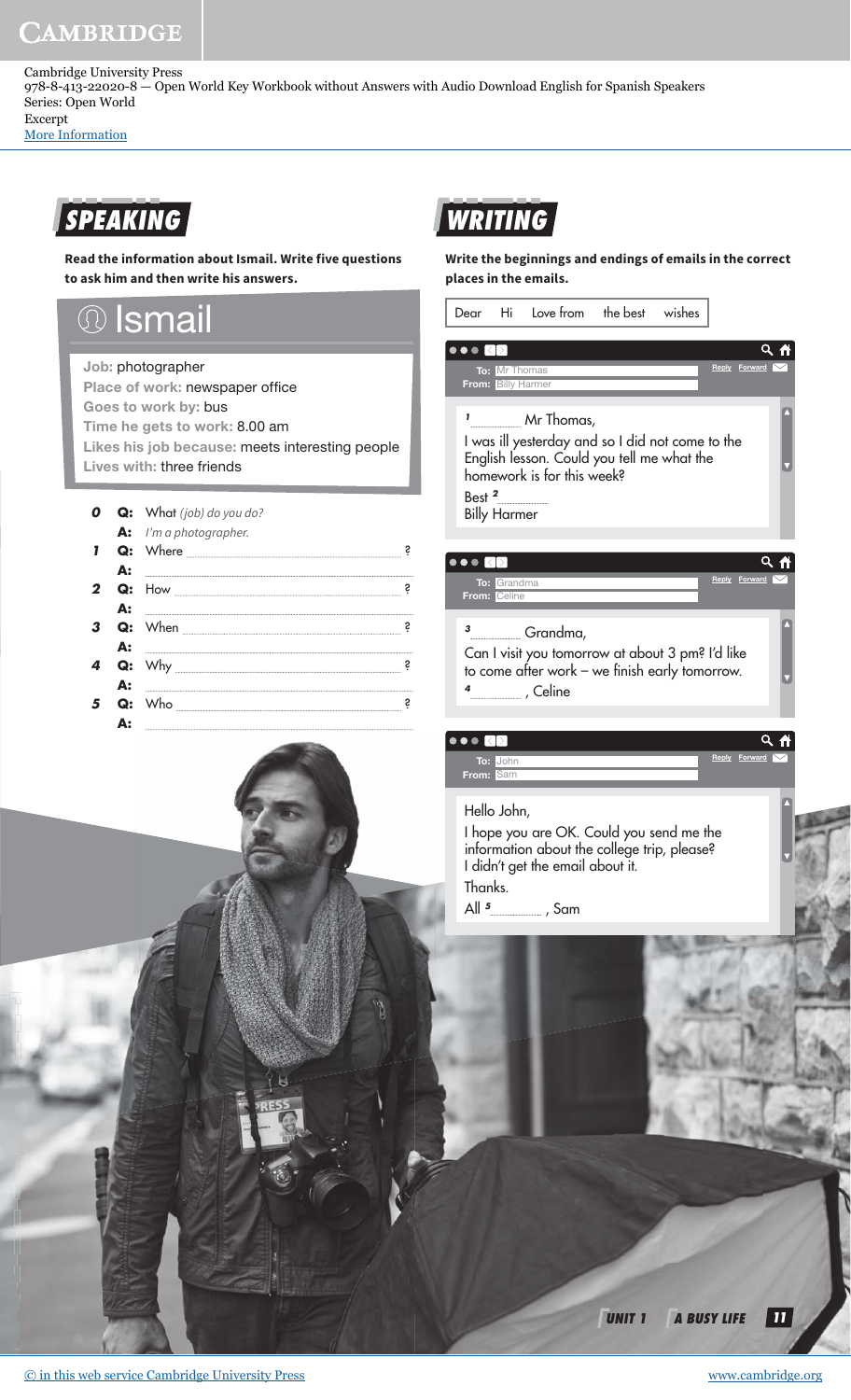Cambridge University Press 978-8-413-22020-8 — Open World Key Workbook without Answers with Audio Download English for Spanish Speakers Series: Open World Excerpt

[More Information](www.cambridge.org/9788413220208)

# **SPEAKING**

**Read the information about Ismail. Write five questions to ask him and then write his answers.** 

#### **Ismail**  $\left(\text{)}\right)$

Job: photographer

Place of work: newspaper office Goes to work by: bus Time he gets to work: 8.00 am Likes his job because: meets interesting people Lives with: three friends

|    | <b>Q:</b> What (job) do you do? |   |
|----|---------------------------------|---|
|    | A: I'm a photographer.          | S |
| Q: |                                 | S |
|    |                                 | S |
|    |                                 |   |
| Q: |                                 |   |



**Write the beginnings and endings of emails in the correct places in the emails.**



Can I visit you tomorrow at about 3 pm? I'd like to come after work – we finish early tomorrow. **4** , Celine

| $\bullet$ |  |               |
|-----------|--|---------------|
| To: John  |  | Reply Forward |
| From: Sam |  |               |

#### Hello John,

I hope you are OK. Could you send me the information about the college trip, please? I didn't get the email about it. Thanks. All <sup>5</sup>\_\_\_\_\_\_\_\_\_\_\_\_\_ , Sam

**UNIT 1 A BUSY LIFE 11**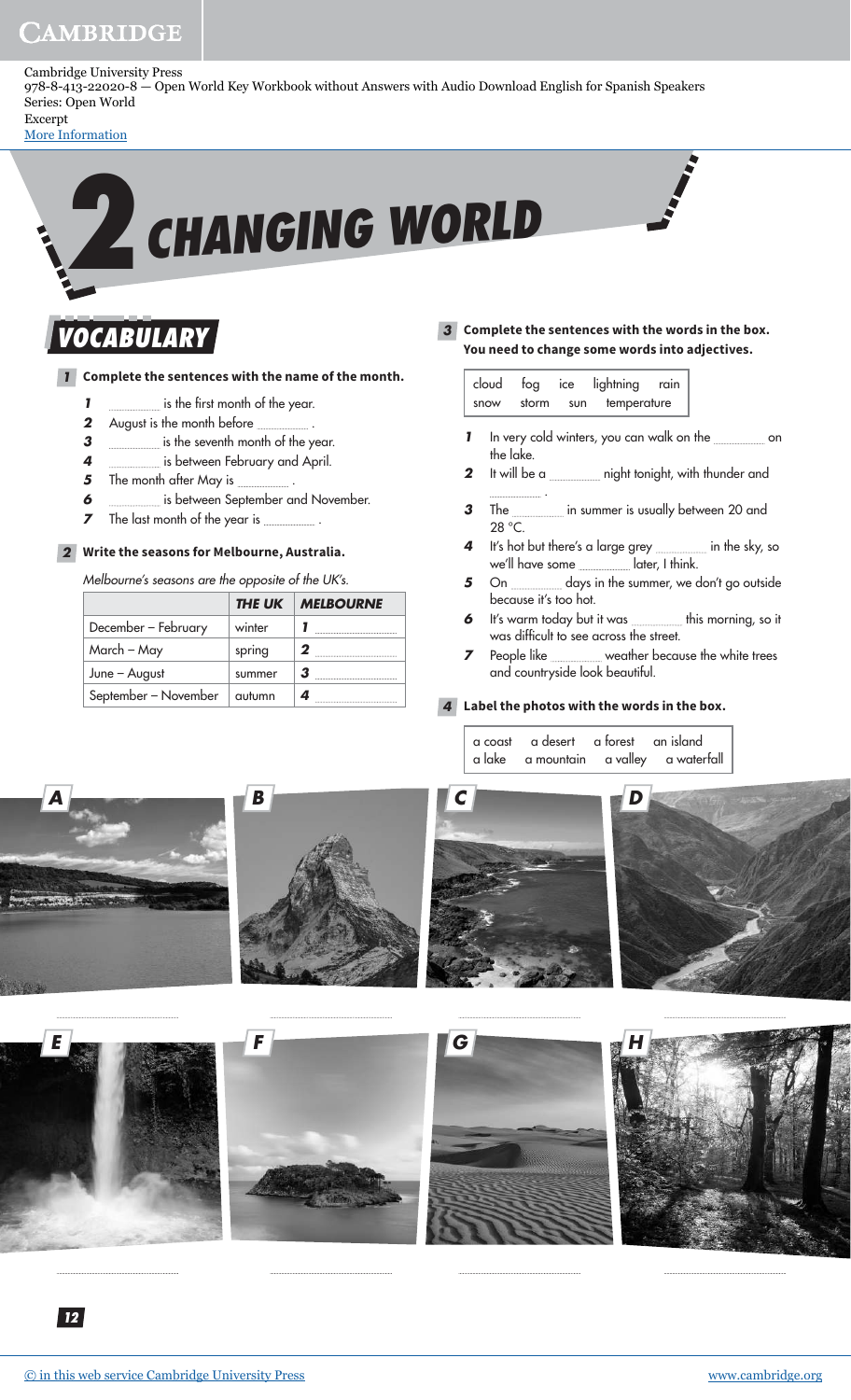Cambridge University Press 978-8-413-22020-8 — Open World Key Workbook without Answers with Audio Download English for Spanish Speakers Series: Open World Excerpt

[More Information](www.cambridge.org/9788413220208)



### **VOCABULARY**

#### **1 Complete the sentences with the name of the month.**

- **1 i**s the first month of the year.
- **2** August is the month before \_\_\_\_\_\_\_\_\_\_.
- **3 i**s the seventh month of the year.
- **4** is between February and April.
- **5** The month after May is **....................**
- **6 i**s between September and November.
- **7** The last month of the year is .

#### **2 Write the seasons for Melbourne, Australia.**

Melbourne's seasons are the opposite of the UK's.

|                      | THE UK | <b>MELBOURNE</b> |
|----------------------|--------|------------------|
| December - February  | winter |                  |
| March – May          | spring |                  |
| June - August        | summer | З                |
| September - November | autumn |                  |

**3 Complete the sentences with the words in the box. You need to change some words into adjectives.**

| cloud | fog ice |     | lightning   | rain |
|-------|---------|-----|-------------|------|
| snow  | storm   | sun | temperature |      |

- **1** In very cold winters, you can walk on the **container on** the lake.
- **2** It will be a **normally i**night tonight, with thunder and .
- **3** The in summer is usually between 20 and 28 °C.
- **4** It's hot but there's a large grey **in the sky**, so we'll have some **later**, I think.
- **5** On <u>entitle on the summer</u>, we don't go outside because it's too hot.
- **6** It's warm today but it was **this morning**, so it was difficult to see across the street.
- **7** People like weather because the white trees and countryside look beautiful.

#### **4 Label the photos with the words in the box.**

|  | a coast a desert a forest an island |                                        |
|--|-------------------------------------|----------------------------------------|
|  |                                     | a lake a mountain a valley a waterfall |











 $F$  **F HG HG HG HG** 





**12**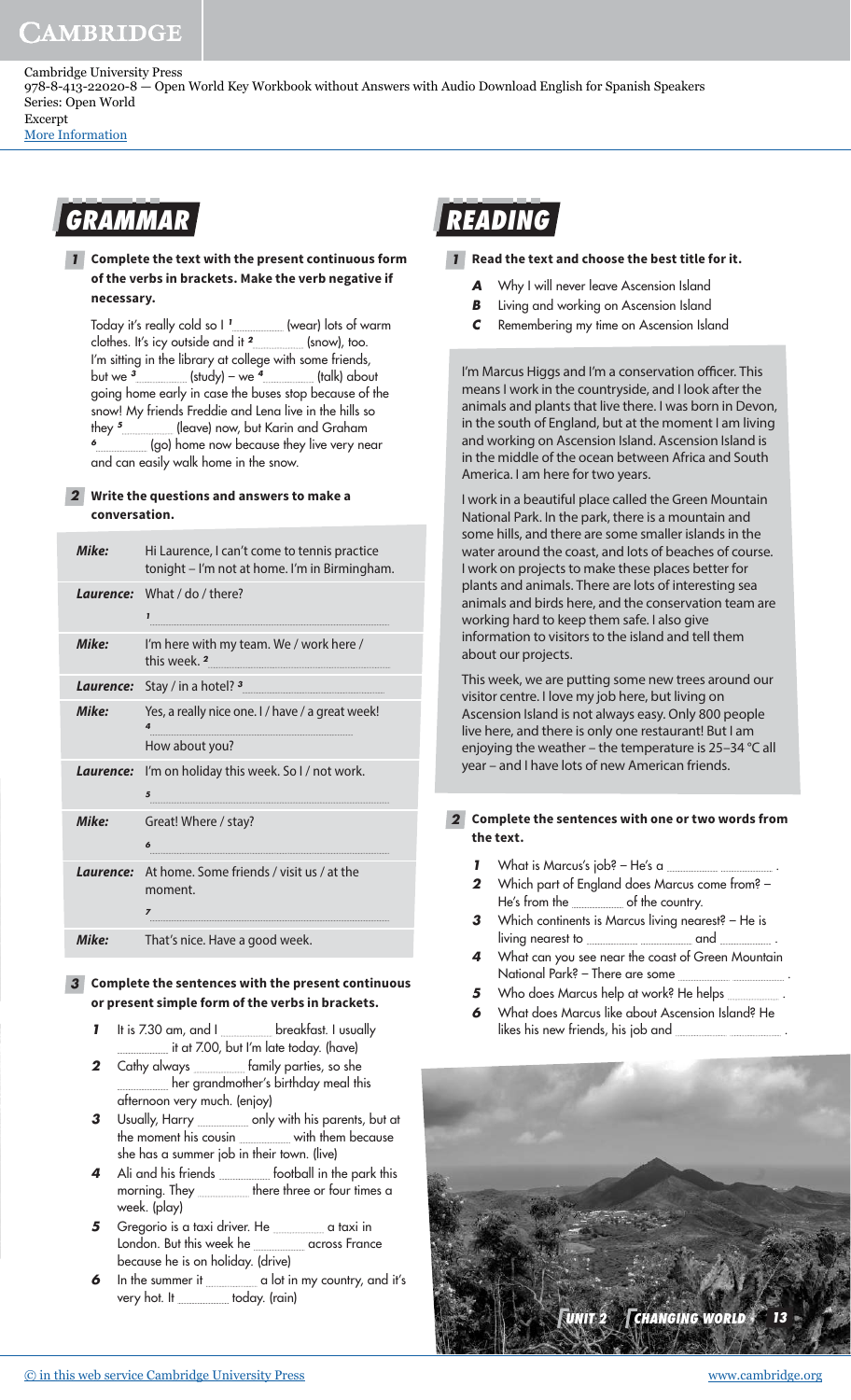Cambridge University Press 978-8-413-22020-8 — Open World Key Workbook without Answers with Audio Download English for Spanish Speakers Series: Open World Excerpt

[More Information](www.cambridge.org/9788413220208)

## **GRAMMAR**

**1 Complete the text with the present continuous form of the verbs in brackets. Make the verb negative if necessary.**

Today it's really cold so I **<sup>1</sup>** (wear) lots of warm clothes. It's icy outside and it **<sup>2</sup>** (snow), too. I'm sitting in the library at college with some friends, but we **<sup>3</sup>** (study) – we **<sup>4</sup>** (talk) about going home early in case the buses stop because of the snow! My friends Freddie and Lena live in the hills so they **<sup>5</sup>** (leave) now, but Karin and Graham **6** (go) home now because they live very near and can easily walk home in the snow.

#### **2 Write the questions and answers to make a conversation.**

| Mike:     | Hi Laurence, I can't come to tennis practice<br>tonight - I'm not at home. I'm in Birmingham. |  |
|-----------|-----------------------------------------------------------------------------------------------|--|
| Laurence: | What / do / there?<br>1                                                                       |  |
| Mike:     | I'm here with my team. We / work here /<br>this week 2                                        |  |
|           | <b>Laurence:</b> Stay / in a hotel? <sup>3</sup>                                              |  |
| Mike:     | Yes, a really nice one. I / have / a great week!<br>4<br>How about you?                       |  |
|           | <b>Laurence:</b> I'm on holiday this week. So I / not work.<br>5                              |  |
| Mike:     | Great! Where / stay?<br>6                                                                     |  |
| Laurence: | At home. Some friends / visit us / at the<br>moment.<br>$\overline{z}$                        |  |
| Mike:     | That's nice. Have a good week.                                                                |  |

#### **3 Complete the sentences with the present continuous or present simple form of the verbs in brackets.**

- **1** It is 7.30 am, and I breakfast. I usually it at 7.00, but I'm late today. (have)
- **2** Cathy always **Family parties**, so she her grandmother's birthday meal this afternoon very much. (enjoy)
- **3** Usually, Harry <u>come set only with his parents, but at</u> the moment his cousin <u>with them because</u> she has a summer job in their town. (live)
- 4 Ali and his friends **football** in the park this morning. They **morning** there three or four times a week. (play)
- **5** Gregorio is a taxi driver. He **support of the set of taxi** in London. But this week he **manual** across France because he is on holiday. (drive)
- **6** In the summer it **container if the summer it** a lot in my country, and it's very hot. It \_\_\_\_\_\_\_\_\_\_ today. (rain)



#### **1 Read the text and choose the best title for it.**

- A Why I will never leave Ascension Island
- **B** Living and working on Ascension Island
- **C** Remembering my time on Ascension Island

I'm Marcus Higgs and I'm a conservation officer. This means I work in the countryside, and I look after the animals and plants that live there. I was born in Devon, in the south of England, but at the moment I am living and working on Ascension Island. Ascension Island is in the middle of the ocean between Africa and South America. I am here for two years.

I work in a beautiful place called the Green Mountain National Park. In the park, there is a mountain and some hills, and there are some smaller islands in the water around the coast, and lots of beaches of course. I work on projects to make these places better for plants and animals. There are lots of interesting sea animals and birds here, and the conservation team are working hard to keep them safe. I also give information to visitors to the island and tell them about our projects.

This week, we are putting some new trees around our visitor centre. I love my job here, but living on Ascension Island is not always easy. Only 800 people live here, and there is only one restaurant! But I am enjoying the weather – the temperature is 25–34 °C all year – and I have lots of new American friends.

#### **2 Complete the sentences with one or two words from the text.**

- **1** What is Marcus's job? He's a
- **2** Which part of England does Marcus come from? He's from the **country**.
- **3** Which continents is Marcus living nearest? He is living nearest to **contain the contract of the contract of the contract of the contract of the contract of the c**
- **4** What can you see near the coast of Green Mountain National Park? – There are some .
- **5** Who does Marcus help at work? He helps **ware the summan**
- **6** What does Marcus like about Ascension Island? He likes his new friends, his job and .

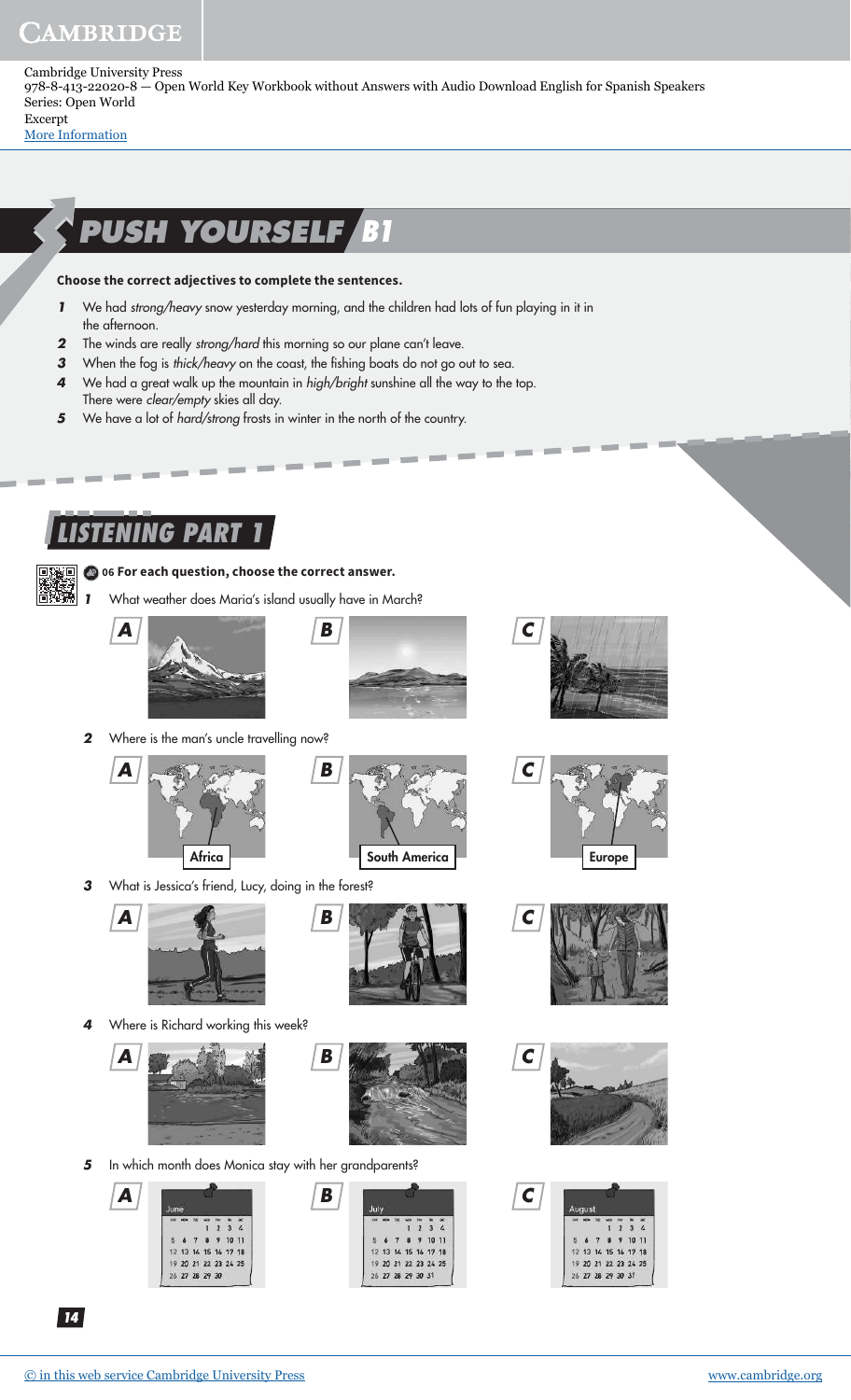Cambridge University Press 978-8-413-22020-8 — Open World Key Workbook without Answers with Audio Download English for Spanish Speakers Series: Open World Excerpt

[More Information](www.cambridge.org/9788413220208)

# **PUSH YOURSELF B1**

#### **Choose the correct adjectives to complete the sentences.**

- **1** We had strong/heavy snow yesterday morning, and the children had lots of fun playing in it in the afternoon.
- **2** The winds are really strong/hard this morning so our plane can't leave.
- **3** When the fog is thick/heavy on the coast, the fishing boats do not go out to sea.
- **4** We had a great walk up the mountain in high/bright sunshine all the way to the top. There were clear/empty skies all day.
- **5** We have a lot of *hard/strong* frosts in winter in the north of the country.

### **ISTENING PART**



#### **06 For each question, choose the correct answer.**

**1** What weather does Maria's island usually have in March?







**C**

2 Where is the man's uncle travelling now?





**3** What is Jessica's friend, Lucy, doing in the forest?





**4** Where is Richard working this week?





**5** In which month does Monica stay with her grandparents?





Europe